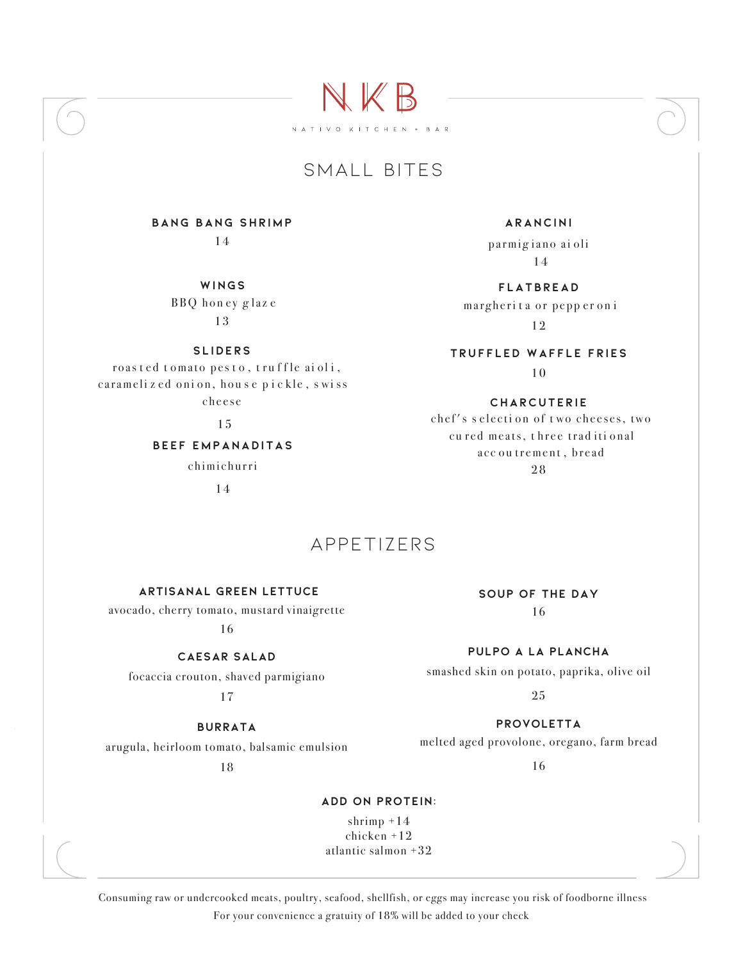# SMALL BITES

NKB

NATIVO KITCHEN + BAR

**bang bang shrimp** 14

> **wings** BBQ honey glaze 13

> > **slide rs**

roas t ed t omato p e s t o , t ru f f l e ai o l i , caramelized onion, house pickle, swiss c h e e s e

15

**beef empanaditas** chimi churri

14

### **arancini**

parmigiano ai oli 1 4

**Flatbread** margherita or pepper on i 12

**Truffled waffle fries** 10

#### **charcuterie**

chef's selection of two cheeses, two cured meats, three traditional acc ou trement, bread 28

#### **artisanal green lettuce**

avocado, cherry tomato, mustard vinaigrette

16

#### **caesar salad**

focaccia crouton, shaved parmigiano

17

## **burrata**

arugula, heirloom tomato, balsamic emulsion

18

## **soup of the day** 16

**pulpo a la plancha**

smashed skin on potato, paprika, olive oil

25

**provoletta** melted aged provolone, oregano, farm bread

16

## **add on protein:**

appetizers

shrimp +14 chicken +12 atlantic salmon +32

 Consuming raw or undercooked meats, poultry, seafood, shellfish, or eggs may increase you risk of foodborne illness For your convenience a gratuity of 18% will be added to your check